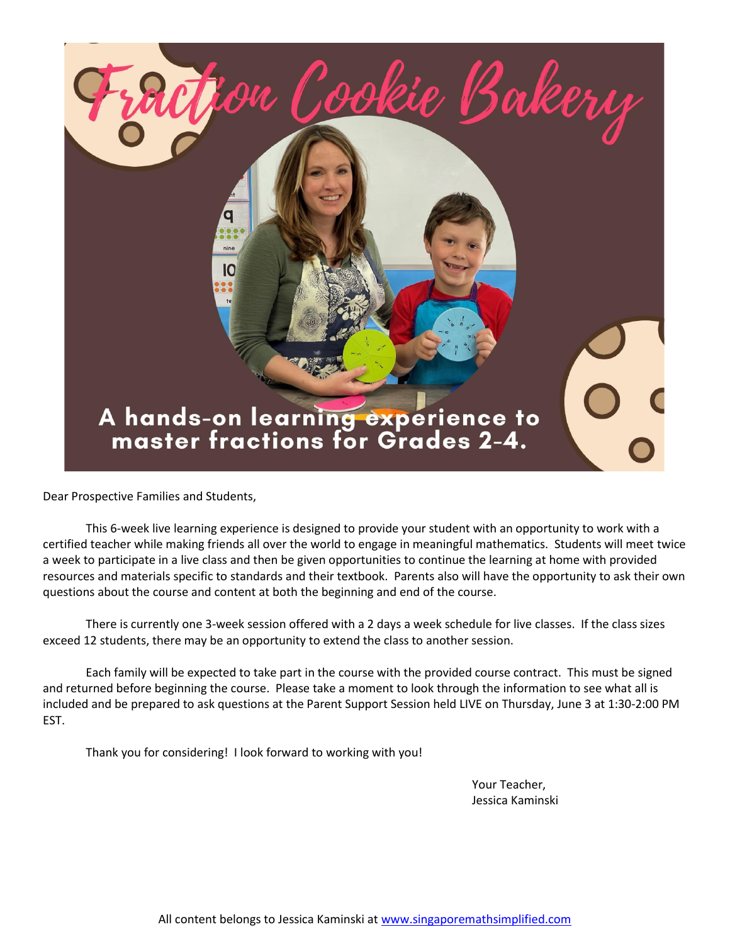

Dear Prospective Families and Students,

This 6-week live learning experience is designed to provide your student with an opportunity to work with a certified teacher while making friends all over the world to engage in meaningful mathematics. Students will meet twice a week to participate in a live class and then be given opportunities to continue the learning at home with provided resources and materials specific to standards and their textbook. Parents also will have the opportunity to ask their own questions about the course and content at both the beginning and end of the course.

There is currently one 3-week session offered with a 2 days a week schedule for live classes. If the class sizes exceed 12 students, there may be an opportunity to extend the class to another session.

Each family will be expected to take part in the course with the provided course contract. This must be signed and returned before beginning the course. Please take a moment to look through the information to see what all is included and be prepared to ask questions at the Parent Support Session held LIVE on Thursday, June 3 at 1:30-2:00 PM EST.

Thank you for considering! I look forward to working with you!

Your Teacher, Jessica Kaminski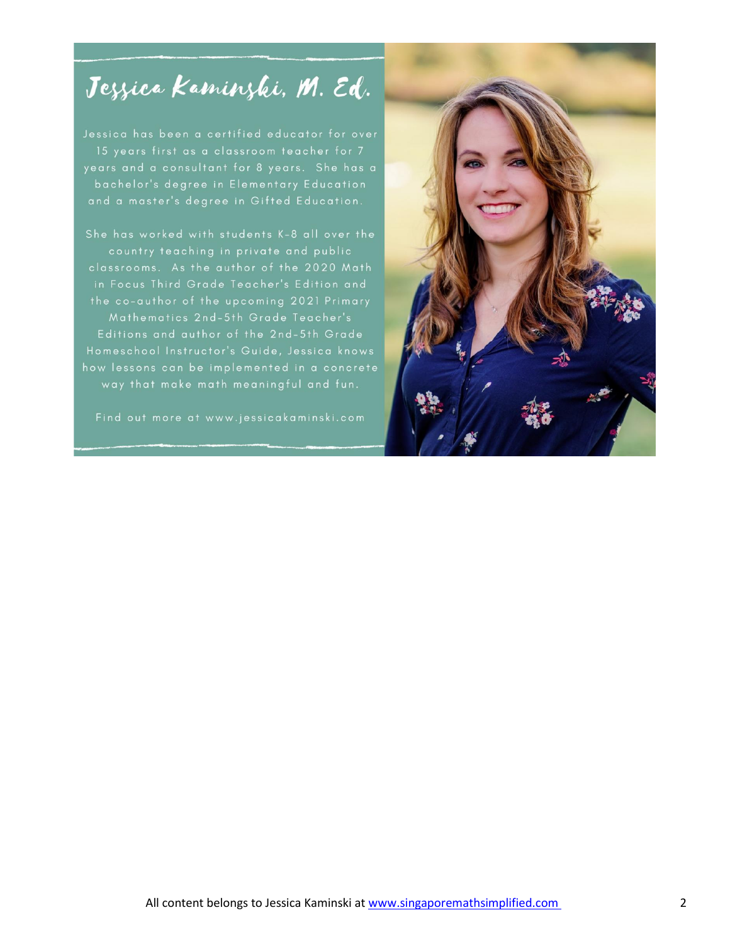# Jezzica Kaminzki, M. Ed.

bachelor's degree in Elementary Education and a master's degree in Gifted Education.

She has worked with students K-8 all over the in Focus Third Grade Teacher's Edition and the co-author of the upcoming 2021 Primary Mathematics 2nd-5th Grade Teacher's Editions and author of the 2nd-5th Grade Homeschool Instructor's Guide, Jessica knows way that make math meaningful and fun.

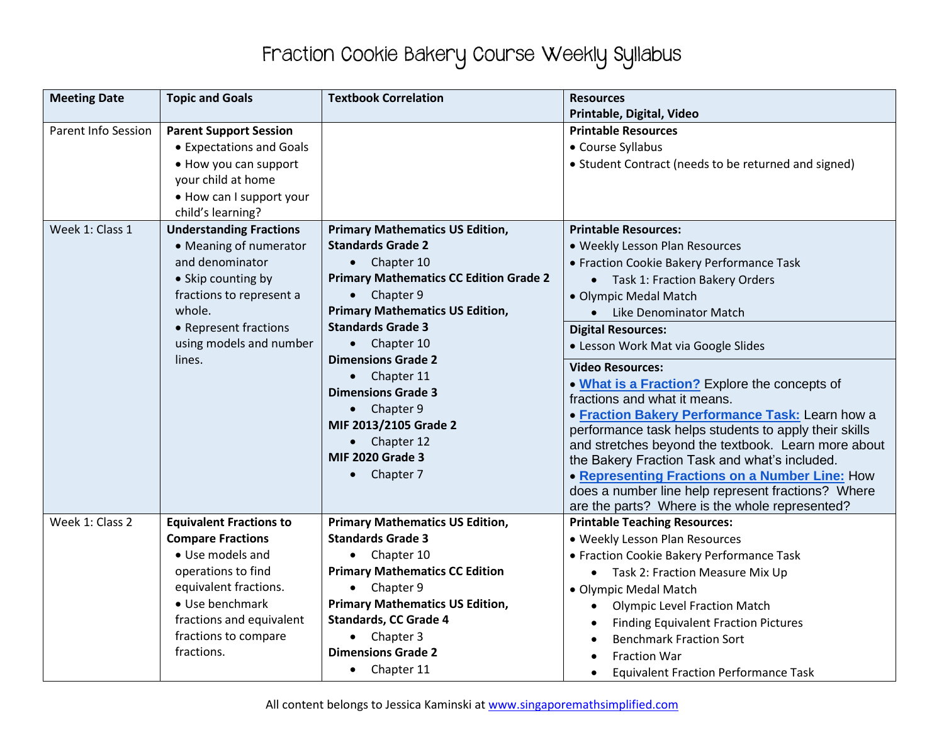# Fraction Cookie Bakery Course Weekly Syllabus

| <b>Meeting Date</b>        | <b>Topic and Goals</b>                       | <b>Textbook Correlation</b>                                        | <b>Resources</b>                                      |
|----------------------------|----------------------------------------------|--------------------------------------------------------------------|-------------------------------------------------------|
|                            |                                              |                                                                    | Printable, Digital, Video                             |
| <b>Parent Info Session</b> | <b>Parent Support Session</b>                |                                                                    | <b>Printable Resources</b>                            |
|                            | • Expectations and Goals                     |                                                                    | • Course Syllabus                                     |
|                            | • How you can support                        |                                                                    | • Student Contract (needs to be returned and signed)  |
|                            | your child at home                           |                                                                    |                                                       |
|                            | • How can I support your                     |                                                                    |                                                       |
|                            | child's learning?                            |                                                                    |                                                       |
| Week 1: Class 1            | <b>Understanding Fractions</b>               | <b>Primary Mathematics US Edition,</b>                             | <b>Printable Resources:</b>                           |
|                            | • Meaning of numerator                       | <b>Standards Grade 2</b>                                           | • Weekly Lesson Plan Resources                        |
|                            | and denominator                              | Chapter 10<br>$\bullet$                                            | • Fraction Cookie Bakery Performance Task             |
|                            | • Skip counting by                           | <b>Primary Mathematics CC Edition Grade 2</b>                      | • Task 1: Fraction Bakery Orders                      |
|                            | fractions to represent a                     | Chapter 9<br>$\bullet$                                             | • Olympic Medal Match                                 |
|                            | whole.                                       | <b>Primary Mathematics US Edition,</b>                             | Like Denominator Match                                |
|                            | • Represent fractions                        | <b>Standards Grade 3</b>                                           | <b>Digital Resources:</b>                             |
|                            | using models and number                      | $\bullet$ Chapter 10                                               | • Lesson Work Mat via Google Slides                   |
|                            | lines.                                       | <b>Dimensions Grade 2</b>                                          | <b>Video Resources:</b>                               |
|                            |                                              | Chapter 11                                                         | . What is a Fraction? Explore the concepts of         |
|                            |                                              | <b>Dimensions Grade 3</b>                                          | fractions and what it means.                          |
|                            |                                              | $\bullet$ Chapter 9                                                | • Fraction Bakery Performance Task: Learn how a       |
|                            |                                              | MIF 2013/2105 Grade 2                                              | performance task helps students to apply their skills |
|                            |                                              | $\bullet$ Chapter 12                                               | and stretches beyond the textbook. Learn more about   |
|                            |                                              | <b>MIF 2020 Grade 3</b>                                            | the Bakery Fraction Task and what's included.         |
|                            |                                              | $\bullet$ Chapter 7                                                | • Representing Fractions on a Number Line: How        |
|                            |                                              |                                                                    | does a number line help represent fractions? Where    |
|                            |                                              |                                                                    | are the parts? Where is the whole represented?        |
| Week 1: Class 2            | <b>Equivalent Fractions to</b>               | <b>Primary Mathematics US Edition,</b><br><b>Standards Grade 3</b> | <b>Printable Teaching Resources:</b>                  |
|                            | <b>Compare Fractions</b><br>• Use models and |                                                                    | . Weekly Lesson Plan Resources                        |
|                            |                                              | • Chapter 10                                                       | • Fraction Cookie Bakery Performance Task             |
|                            | operations to find                           | <b>Primary Mathematics CC Edition</b>                              | • Task 2: Fraction Measure Mix Up                     |
|                            | equivalent fractions.                        | $\bullet$ Chapter 9                                                | · Olympic Medal Match                                 |
|                            | • Use benchmark                              | <b>Primary Mathematics US Edition,</b>                             | <b>Olympic Level Fraction Match</b><br>$\bullet$      |
|                            | fractions and equivalent                     | <b>Standards, CC Grade 4</b>                                       | <b>Finding Equivalent Fraction Pictures</b>           |
|                            | fractions to compare<br>fractions.           | $\bullet$ Chapter 3<br><b>Dimensions Grade 2</b>                   | <b>Benchmark Fraction Sort</b>                        |
|                            |                                              |                                                                    | <b>Fraction War</b>                                   |
|                            |                                              | Chapter 11<br>$\bullet$                                            | <b>Equivalent Fraction Performance Task</b>           |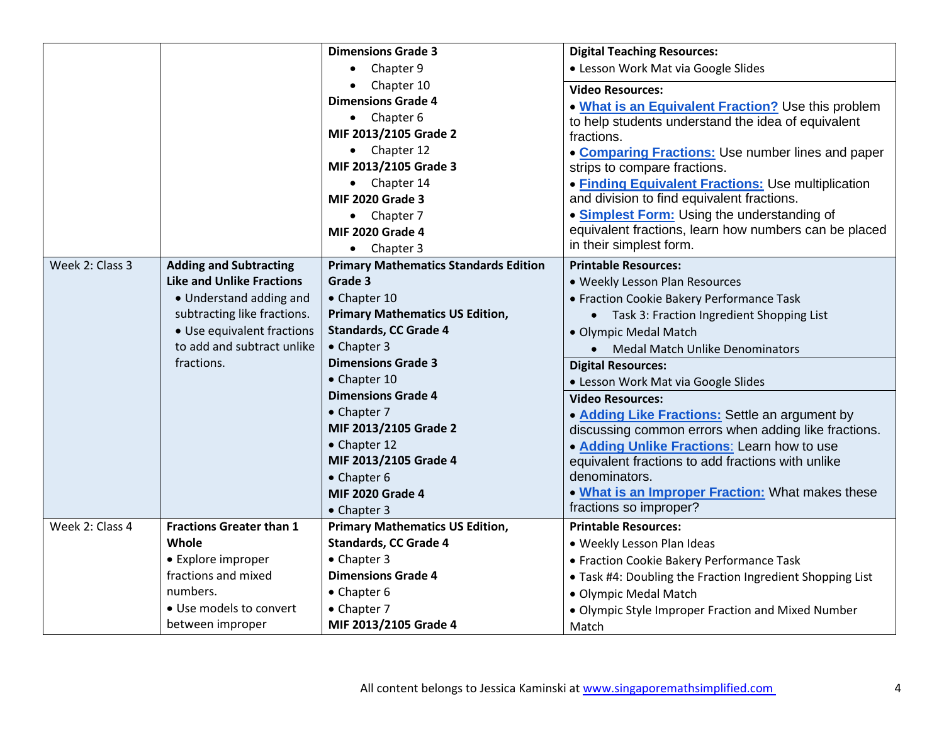|                 |                                  | <b>Dimensions Grade 3</b>                    | <b>Digital Teaching Resources:</b>                        |
|-----------------|----------------------------------|----------------------------------------------|-----------------------------------------------------------|
|                 |                                  | Chapter 9                                    | • Lesson Work Mat via Google Slides                       |
|                 |                                  | Chapter 10                                   | <b>Video Resources:</b>                                   |
|                 |                                  | <b>Dimensions Grade 4</b>                    | . What is an Equivalent Fraction? Use this problem        |
|                 |                                  | $\bullet$ Chapter 6                          | to help students understand the idea of equivalent        |
|                 |                                  | MIF 2013/2105 Grade 2                        | fractions.                                                |
|                 |                                  | • Chapter 12                                 | • Comparing Fractions: Use number lines and paper         |
|                 |                                  | MIF 2013/2105 Grade 3                        | strips to compare fractions.                              |
|                 |                                  | • Chapter 14                                 | • Finding Equivalent Fractions: Use multiplication        |
|                 |                                  | <b>MIF 2020 Grade 3</b>                      | and division to find equivalent fractions.                |
|                 |                                  | • Chapter 7                                  | • Simplest Form: Using the understanding of               |
|                 |                                  | <b>MIF 2020 Grade 4</b>                      | equivalent fractions, learn how numbers can be placed     |
|                 |                                  | $\bullet$ Chapter 3                          | in their simplest form.                                   |
| Week 2: Class 3 | <b>Adding and Subtracting</b>    | <b>Primary Mathematics Standards Edition</b> | <b>Printable Resources:</b>                               |
|                 | <b>Like and Unlike Fractions</b> | Grade 3                                      | • Weekly Lesson Plan Resources                            |
|                 | • Understand adding and          | • Chapter 10                                 | • Fraction Cookie Bakery Performance Task                 |
|                 | subtracting like fractions.      | <b>Primary Mathematics US Edition,</b>       | • Task 3: Fraction Ingredient Shopping List               |
|                 | • Use equivalent fractions       | <b>Standards, CC Grade 4</b>                 | • Olympic Medal Match                                     |
|                 | to add and subtract unlike       | • Chapter 3                                  | <b>Medal Match Unlike Denominators</b><br>$\bullet$       |
|                 | fractions.                       | <b>Dimensions Grade 3</b>                    | <b>Digital Resources:</b>                                 |
|                 |                                  | • Chapter 10                                 | • Lesson Work Mat via Google Slides                       |
|                 |                                  | <b>Dimensions Grade 4</b>                    | <b>Video Resources:</b>                                   |
|                 |                                  | • Chapter 7                                  | • Adding Like Fractions: Settle an argument by            |
|                 |                                  | MIF 2013/2105 Grade 2                        | discussing common errors when adding like fractions.      |
|                 |                                  | • Chapter 12                                 | . Adding Unlike Fractions: Learn how to use               |
|                 |                                  | MIF 2013/2105 Grade 4                        | equivalent fractions to add fractions with unlike         |
|                 |                                  | • Chapter 6                                  | denominators.                                             |
|                 |                                  | <b>MIF 2020 Grade 4</b>                      | . What is an Improper Fraction: What makes these          |
|                 |                                  | • Chapter 3                                  | fractions so improper?                                    |
| Week 2: Class 4 | <b>Fractions Greater than 1</b>  | <b>Primary Mathematics US Edition,</b>       | <b>Printable Resources:</b>                               |
|                 | Whole                            | <b>Standards, CC Grade 4</b>                 | • Weekly Lesson Plan Ideas                                |
|                 | • Explore improper               | • Chapter 3                                  | • Fraction Cookie Bakery Performance Task                 |
|                 | fractions and mixed              | <b>Dimensions Grade 4</b>                    | . Task #4: Doubling the Fraction Ingredient Shopping List |
|                 | numbers.                         | • Chapter 6                                  | • Olympic Medal Match                                     |
|                 | • Use models to convert          | • Chapter 7                                  | • Olympic Style Improper Fraction and Mixed Number        |
|                 | between improper                 | MIF 2013/2105 Grade 4                        | Match                                                     |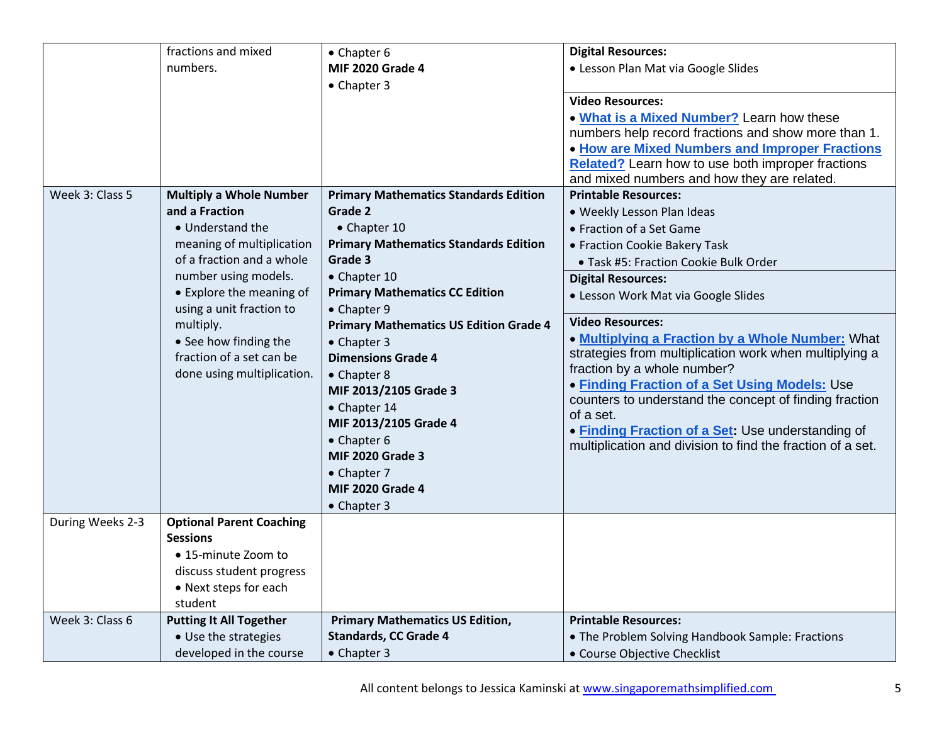|                  | fractions and mixed             | • Chapter 6                                   | <b>Digital Resources:</b>                                                             |
|------------------|---------------------------------|-----------------------------------------------|---------------------------------------------------------------------------------------|
|                  | numbers.                        | <b>MIF 2020 Grade 4</b>                       | · Lesson Plan Mat via Google Slides                                                   |
|                  |                                 | • Chapter 3                                   |                                                                                       |
|                  |                                 |                                               | <b>Video Resources:</b>                                                               |
|                  |                                 |                                               | . What is a Mixed Number? Learn how these                                             |
|                  |                                 |                                               | numbers help record fractions and show more than 1.                                   |
|                  |                                 |                                               | . How are Mixed Numbers and Improper Fractions                                        |
|                  |                                 |                                               | <b>Related?</b> Learn how to use both improper fractions                              |
|                  |                                 |                                               | and mixed numbers and how they are related.                                           |
| Week 3: Class 5  | <b>Multiply a Whole Number</b>  | <b>Primary Mathematics Standards Edition</b>  | <b>Printable Resources:</b>                                                           |
|                  | and a Fraction                  | Grade 2                                       | · Weekly Lesson Plan Ideas                                                            |
|                  | • Understand the                | • Chapter 10                                  | • Fraction of a Set Game                                                              |
|                  | meaning of multiplication       | <b>Primary Mathematics Standards Edition</b>  | • Fraction Cookie Bakery Task                                                         |
|                  | of a fraction and a whole       | Grade 3                                       | · Task #5: Fraction Cookie Bulk Order                                                 |
|                  | number using models.            | • Chapter 10                                  | <b>Digital Resources:</b>                                                             |
|                  | • Explore the meaning of        | <b>Primary Mathematics CC Edition</b>         | • Lesson Work Mat via Google Slides                                                   |
|                  | using a unit fraction to        | • Chapter 9                                   |                                                                                       |
|                  | multiply.                       | <b>Primary Mathematics US Edition Grade 4</b> | <b>Video Resources:</b>                                                               |
|                  | • See how finding the           | • Chapter 3                                   | . Multiplying a Fraction by a Whole Number: What                                      |
|                  | fraction of a set can be        | <b>Dimensions Grade 4</b>                     | strategies from multiplication work when multiplying a<br>fraction by a whole number? |
|                  | done using multiplication.      | • Chapter 8                                   | <b>• Finding Fraction of a Set Using Models: Use</b>                                  |
|                  |                                 | MIF 2013/2105 Grade 3                         | counters to understand the concept of finding fraction                                |
|                  |                                 | • Chapter 14                                  | of a set.                                                                             |
|                  |                                 | MIF 2013/2105 Grade 4                         | . Finding Fraction of a Set: Use understanding of                                     |
|                  |                                 | • Chapter 6                                   | multiplication and division to find the fraction of a set.                            |
|                  |                                 | <b>MIF 2020 Grade 3</b>                       |                                                                                       |
|                  |                                 | • Chapter 7                                   |                                                                                       |
|                  |                                 | <b>MIF 2020 Grade 4</b>                       |                                                                                       |
|                  |                                 | • Chapter 3                                   |                                                                                       |
| During Weeks 2-3 | <b>Optional Parent Coaching</b> |                                               |                                                                                       |
|                  | <b>Sessions</b>                 |                                               |                                                                                       |
|                  | • 15-minute Zoom to             |                                               |                                                                                       |
|                  | discuss student progress        |                                               |                                                                                       |
|                  | • Next steps for each           |                                               |                                                                                       |
|                  | student                         |                                               |                                                                                       |
| Week 3: Class 6  | <b>Putting It All Together</b>  | <b>Primary Mathematics US Edition,</b>        | <b>Printable Resources:</b>                                                           |
|                  | • Use the strategies            | <b>Standards, CC Grade 4</b>                  | . The Problem Solving Handbook Sample: Fractions                                      |
|                  | developed in the course         | • Chapter 3                                   | • Course Objective Checklist                                                          |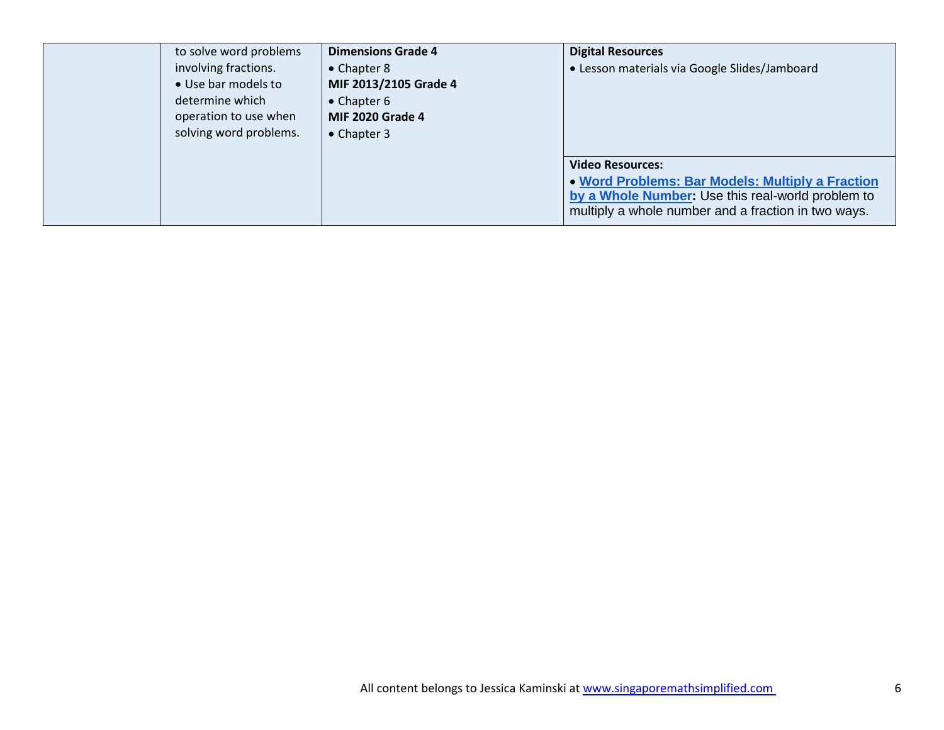| to solve word problems<br>involving fractions.<br>· Use bar models to<br>determine which<br>operation to use when<br>solving word problems. | <b>Dimensions Grade 4</b><br>• Chapter 8<br>MIF 2013/2105 Grade 4<br>• Chapter 6<br><b>MIF 2020 Grade 4</b><br>• Chapter 3 | <b>Digital Resources</b><br>• Lesson materials via Google Slides/Jamboard                                                                                                               |
|---------------------------------------------------------------------------------------------------------------------------------------------|----------------------------------------------------------------------------------------------------------------------------|-----------------------------------------------------------------------------------------------------------------------------------------------------------------------------------------|
|                                                                                                                                             |                                                                                                                            | <b>Video Resources:</b><br>. Word Problems: Bar Models: Multiply a Fraction<br>by a Whole Number: Use this real-world problem to<br>multiply a whole number and a fraction in two ways. |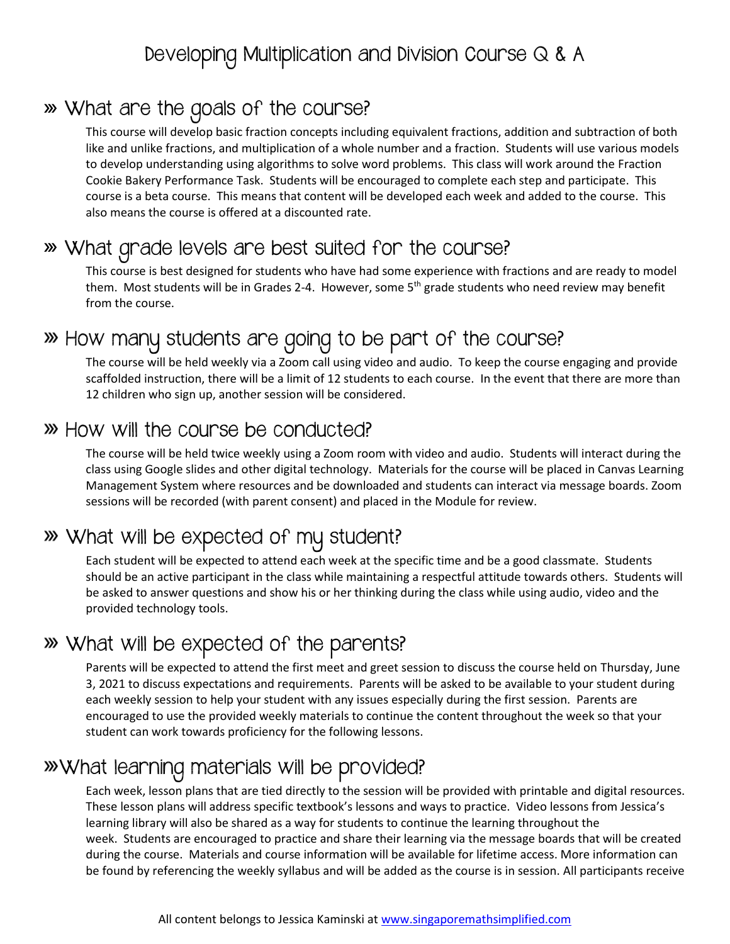### Developing Multiplication and Division Course Q & A

#### What are the goals of the course?

This course will develop basic fraction concepts including equivalent fractions, addition and subtraction of both like and unlike fractions, and multiplication of a whole number and a fraction. Students will use various models to develop understanding using algorithms to solve word problems. This class will work around the Fraction Cookie Bakery Performance Task. Students will be encouraged to complete each step and participate. This course is a beta course. This means that content will be developed each week and added to the course. This also means the course is offered at a discounted rate.

### What grade levels are best suited for the course?

This course is best designed for students who have had some experience with fractions and are ready to model them. Most students will be in Grades 2-4. However, some  $5<sup>th</sup>$  grade students who need review may benefit from the course.

## How many students are going to be part of the course?

The course will be held weekly via a Zoom call using video and audio. To keep the course engaging and provide scaffolded instruction, there will be a limit of 12 students to each course. In the event that there are more than 12 children who sign up, another session will be considered.

#### How will the course be conducted?

The course will be held twice weekly using a Zoom room with video and audio. Students will interact during the class using Google slides and other digital technology. Materials for the course will be placed in Canvas Learning Management System where resources and be downloaded and students can interact via message boards. Zoom sessions will be recorded (with parent consent) and placed in the Module for review.

## What will be expected of my student?

Each student will be expected to attend each week at the specific time and be a good classmate. Students should be an active participant in the class while maintaining a respectful attitude towards others. Students will be asked to answer questions and show his or her thinking during the class while using audio, video and the provided technology tools.

## What will be expected of the parents?

Parents will be expected to attend the first meet and greet session to discuss the course held on Thursday, June 3, 2021 to discuss expectations and requirements. Parents will be asked to be available to your student during each weekly session to help your student with any issues especially during the first session. Parents are encouraged to use the provided weekly materials to continue the content throughout the week so that your student can work towards proficiency for the following lessons.

### What learning materials will be provided?

Each week, lesson plans that are tied directly to the session will be provided with printable and digital resources. These lesson plans will address specific textbook's lessons and ways to practice. Video lessons from Jessica's learning library will also be shared as a way for students to continue the learning throughout the week. Students are encouraged to practice and share their learning via the message boards that will be created during the course. Materials and course information will be available for lifetime access. More information can be found by referencing the weekly syllabus and will be added as the course is in session. All participants receive